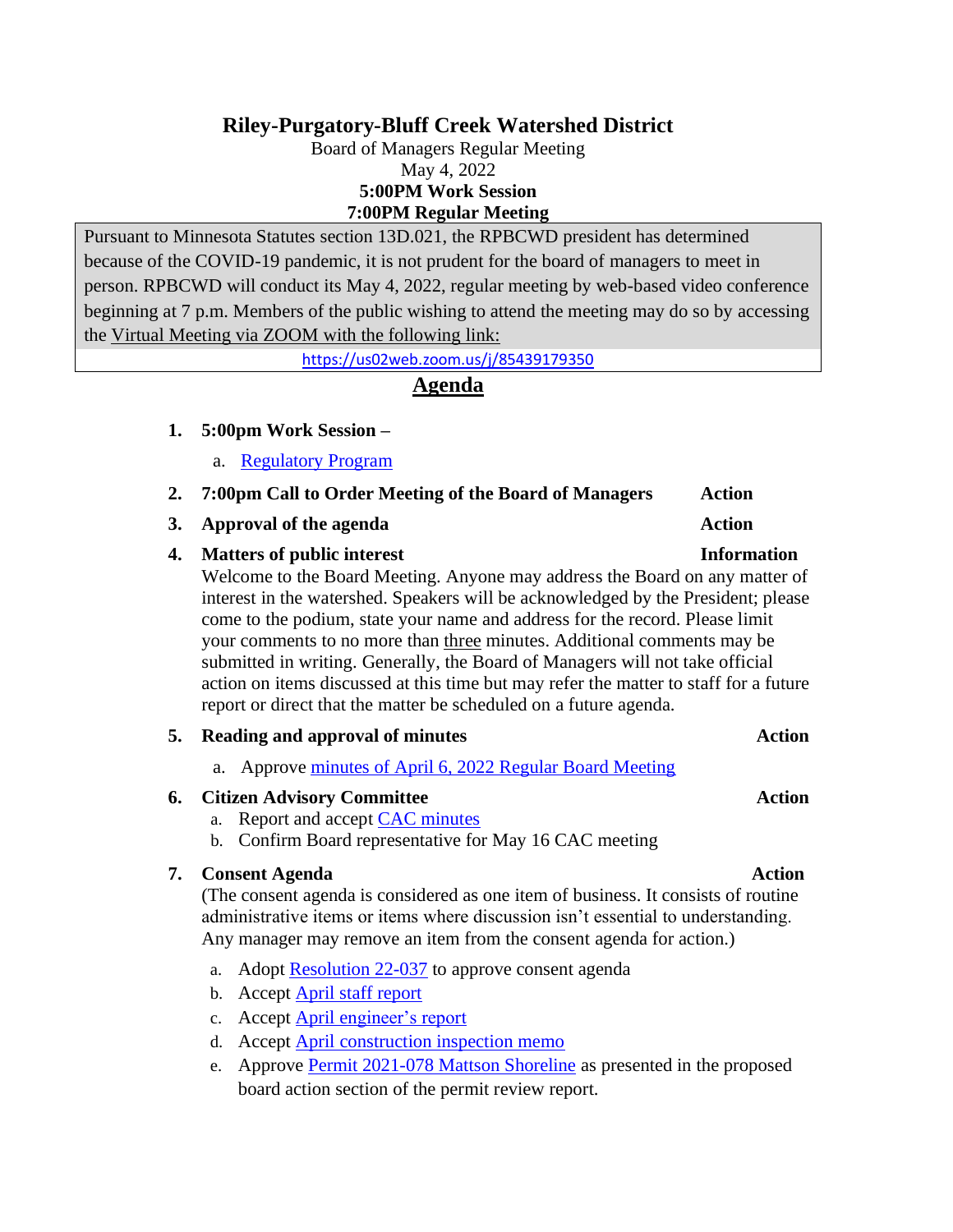# **Riley-Purgatory-Bluff Creek Watershed District**

Board of Managers Regular Meeting May 4, 2022 **5:00PM Work Session 7:00PM Regular Meeting**

Pursuant to Minnesota Statutes section 13D.021, the RPBCWD president has determined because of the COVID-19 pandemic, it is not prudent for the board of managers to meet in person. RPBCWD will conduct its May 4, 2022, regular meeting by web-based video conference beginning at 7 p.m. Members of the public wishing to attend the meeting may do so by accessing the Virtual Meeting via ZOOM with the following link:

<https://us02web.zoom.us/j/85439179350>

## **Agenda**

### **1. 5:00pm Work Session –**

- a. [Regulatory Program](https://rpbcwd.org/download_file/2470/0)
- **2. 7:00pm Call to Order Meeting of the Board of Managers Action**
- **3. Approval of the agenda Action**

## **4. Matters of public interest Information**

Welcome to the Board Meeting. Anyone may address the Board on any matter of interest in the watershed. Speakers will be acknowledged by the President; please come to the podium, state your name and address for the record. Please limit your comments to no more than three minutes. Additional comments may be submitted in writing. Generally, the Board of Managers will not take official action on items discussed at this time but may refer the matter to staff for a future report or direct that the matter be scheduled on a future agenda.

## **5. Reading and approval of minutes Action**

a. Approve [minutes of April 6, 2022 Regular Board Meeting](https://rpbcwd.org/download_file/2436/0)

## **6. Citizen Advisory Committee Action**

- a. Report and accept [CAC minutes](https://rpbcwd.org/download_file/2441/0)
- b. Confirm Board representative for May 16 CAC meeting

### **7. Consent Agenda Action**

(The consent agenda is considered as one item of business. It consists of routine administrative items or items where discussion isn't essential to understanding. Any manager may remove an item from the consent agenda for action.)

- a. Adopt [Resolution](https://rpbcwd.org/download_file/2443/0) 22-037 to approve consent agenda
- b. Accept [April staff report](https://rpbcwd.org/download_file/2444/0)
- c. Accept [April engineer's report](https://rpbcwd.org/download_file/2445/0)
- d. Accept [April construction inspection memo](https://rpbcwd.org/download_file/2446/0)
- e. Approve [Permit 2021-078 Mattson Shoreline](https://rpbcwd.org/download_file/2447/0) as presented in the proposed board action section of the permit review report.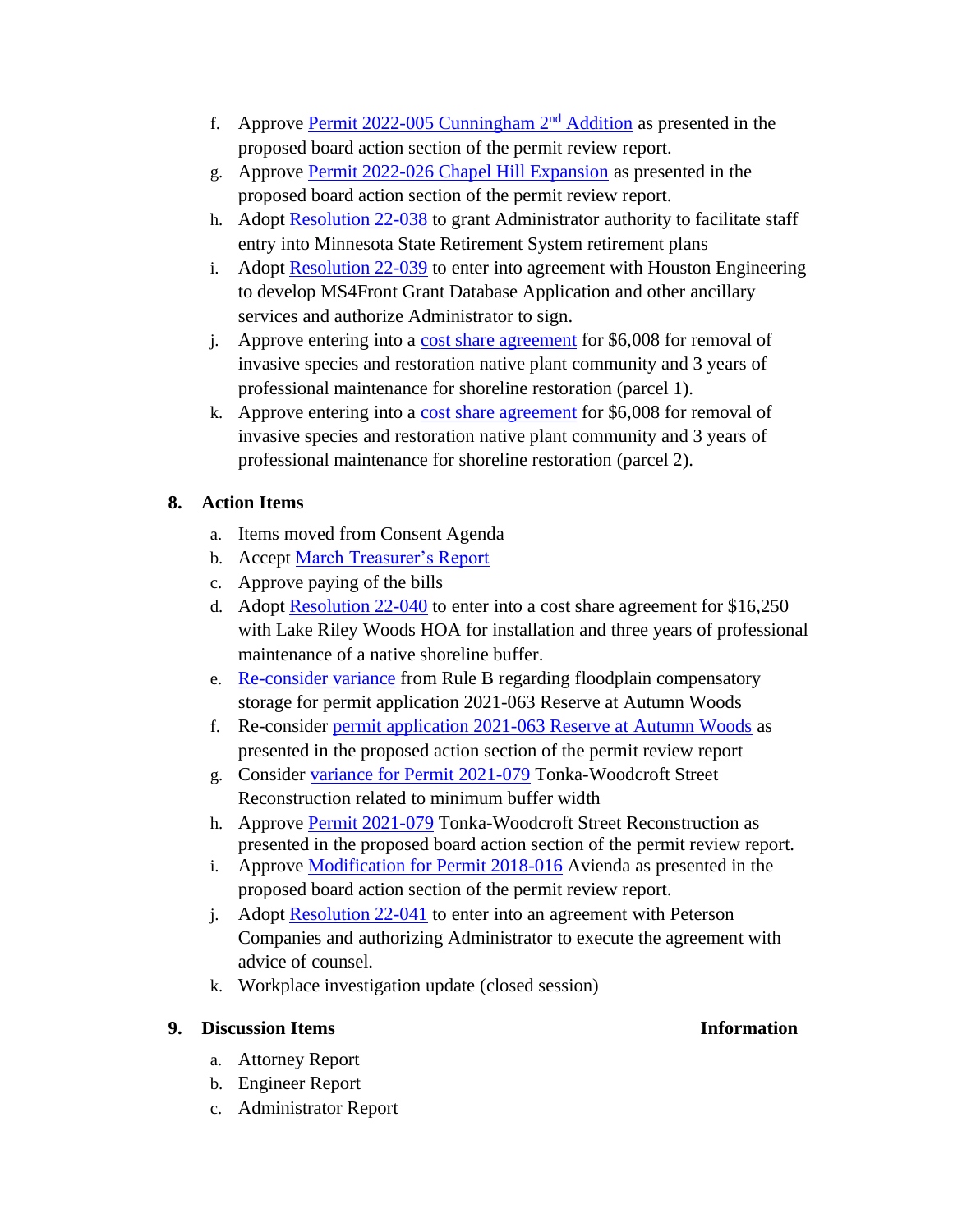- f. Approve [Permit 2022-005 Cunningham 2](https://rpbcwd.org/download_file/2448/0)<sup>nd</sup> Addition as presented in the proposed board action section of the permit review report.
- g. Approve [Permit 2022-026 Chapel Hill Expansion](https://rpbcwd.org/download_file/2449/0) as presented in the proposed board action section of the permit review report.
- h. Adopt [Resolution 22-038](https://rpbcwd.org/download_file/2458/0) to grant Administrator authority to facilitate staff entry into Minnesota State Retirement System retirement plans
- i. Adopt [Resolution 22-039](https://rpbcwd.org/download_file/2457/0) to enter into agreement with Houston Engineering to develop MS4Front Grant Database Application and other ancillary services and authorize Administrator to sign.
- j. Approve entering into a [cost share agreement](https://rpbcwd.org/download_file/2438/0) for \$6,008 for removal of invasive species and restoration native plant community and 3 years of professional maintenance for shoreline restoration (parcel 1).
- k. Approve entering into a [cost share agreement](https://rpbcwd.org/download_file/2438/0) for \$6,008 for removal of invasive species and restoration native plant community and 3 years of professional maintenance for shoreline restoration (parcel 2).

## **8. Action Items**

- a. Items moved from Consent Agenda
- b. Accept [March Treasurer's Report](https://rpbcwd.org/download_file/2451/0)
- c. Approve paying of the bills
- d. Adopt [Resolution 22-040](https://rpbcwd.org/download_file/2452/0) to enter into a cost share agreement for \$16,250 with Lake Riley Woods HOA for installation and three years of professional maintenance of a native shoreline buffer.
- e. [Re-consider variance](https://rpbcwd.org/download_file/2454/0) from Rule B regarding floodplain compensatory storage for permit application 2021-063 Reserve at Autumn Woods
- f. Re-consider [permit application 2021-063](https://rpbcwd.org/download_file/2455/0) Reserve at Autumn Woods as presented in the proposed action section of the permit review report
- g. Consider [variance for Permit 2021-079](https://rpbcwd.org/download_file/2463/0) Tonka-Woodcroft Street Reconstruction related to minimum buffer width
- h. Approve [Permit 2021-079](https://rpbcwd.org/download_file/2463/0) Tonka-Woodcroft Street Reconstruction as presented in the proposed board action section of the permit review report.
- i. Approve [Modification for Permit 2018-016](https://rpbcwd.org/download_file/2460/0) Avienda as presented in the proposed board action section of the permit review report.
- j. Adopt [Resolution 22-041](https://rpbcwd.org/download_file/2461/0) to enter into an agreement with Peterson Companies and authorizing Administrator to execute the agreement with advice of counsel.
- k. Workplace investigation update (closed session)

## **9. Discussion Items Information**

- a. Attorney Report
- b. Engineer Report
- c. Administrator Report